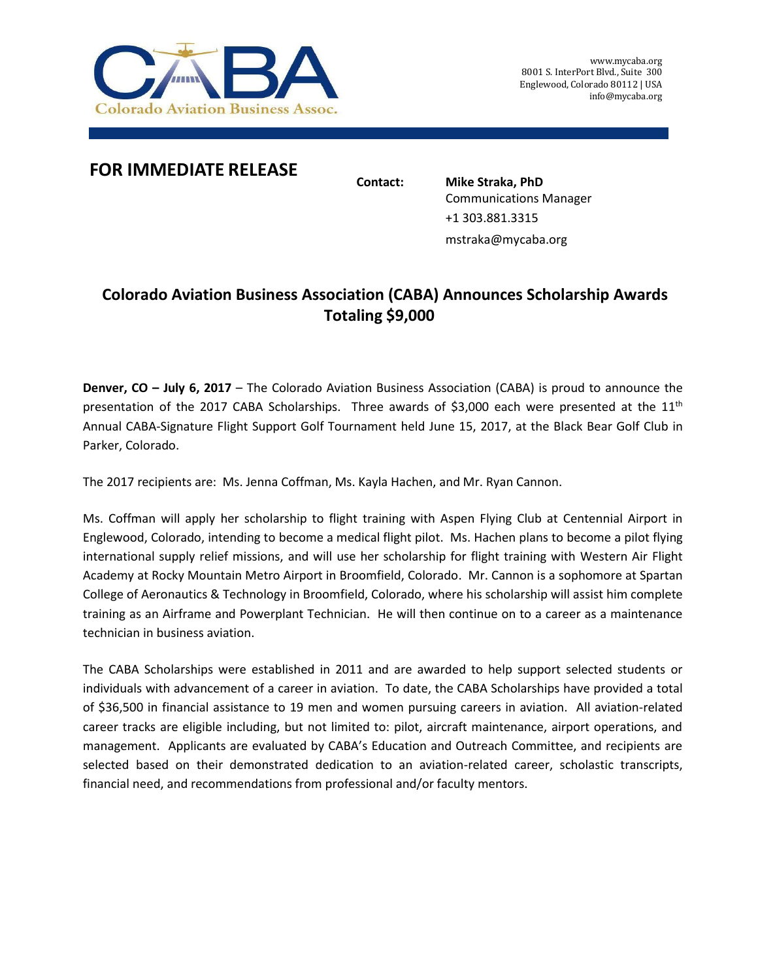

## **FOR IMMEDIATE RELEASE**

**Contact: Mike Straka, PhD** Communications Manager +1 303.881.3315 mstraka@mycaba.org

## **Colorado Aviation Business Association (CABA) Announces Scholarship Awards Totaling \$9,000**

**Denver, CO – July 6, 2017** – The Colorado Aviation Business Association (CABA) is proud to announce the presentation of the 2017 CABA Scholarships. Three awards of \$3,000 each were presented at the  $11<sup>th</sup>$ Annual CABA-Signature Flight Support Golf Tournament held June 15, 2017, at the Black Bear Golf Club in Parker, Colorado.

The 2017 recipients are: Ms. Jenna Coffman, Ms. Kayla Hachen, and Mr. Ryan Cannon.

Ms. Coffman will apply her scholarship to flight training with Aspen Flying Club at Centennial Airport in Englewood, Colorado, intending to become a medical flight pilot. Ms. Hachen plans to become a pilot flying international supply relief missions, and will use her scholarship for flight training with Western Air Flight Academy at Rocky Mountain Metro Airport in Broomfield, Colorado. Mr. Cannon is a sophomore at Spartan College of Aeronautics & Technology in Broomfield, Colorado, where his scholarship will assist him complete training as an Airframe and Powerplant Technician. He will then continue on to a career as a maintenance technician in business aviation.

The CABA Scholarships were established in 2011 and are awarded to help support selected students or individuals with advancement of a career in aviation. To date, the CABA Scholarships have provided a total of \$36,500 in financial assistance to 19 men and women pursuing careers in aviation. All aviation-related career tracks are eligible including, but not limited to: pilot, aircraft maintenance, airport operations, and management. Applicants are evaluated by CABA's Education and Outreach Committee, and recipients are selected based on their demonstrated dedication to an aviation-related career, scholastic transcripts, financial need, and recommendations from professional and/or faculty mentors.